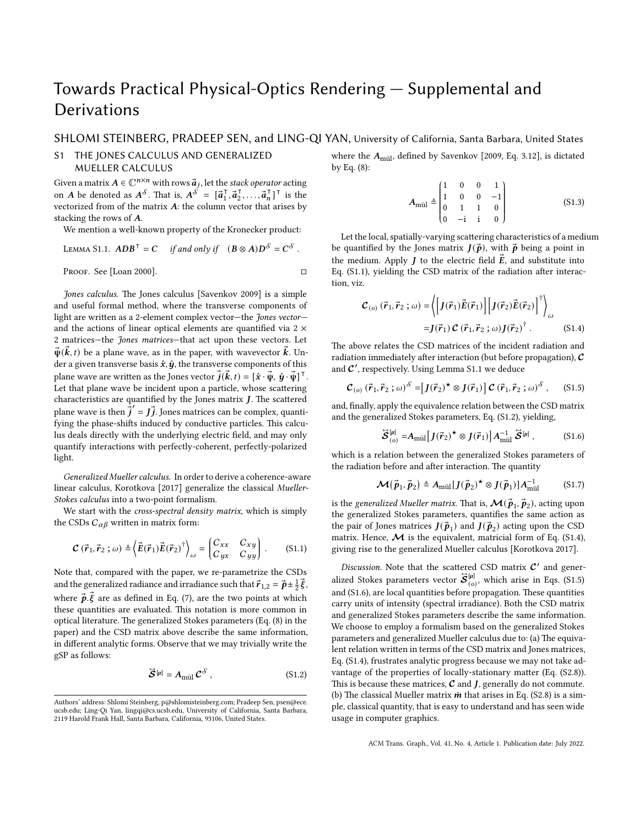# Towards Practical Physical-Optics Rendering — Supplemental and Derivations

## SHLOMI STEINBERG, PRADEEP SEN, and LING-QI YAN, University of California, Santa Barbara, United States

## S1 THE JONES CALCULUS AND GENERALIZED MUELLER CALCULUS

Given a matrix  $A \in \mathbb{C}^{n \times n}$  with rows  $\vec{a}_j$ , let the *stack operator* acting on A be denoted as  $A^{\delta}$ . That is,  $A^{\delta} = [\vec{a}_1^{\dagger}]$  $\vec{a}_2^{\mathsf{T}}, \vec{a}_2^{\mathsf{T}}$  $\overline{a}_1^{\mathsf{T}}, \ldots, \overline{a}_n^{\mathsf{T}}$  $\begin{bmatrix} 1 \\ n \end{bmatrix}^T$  is the vectorized from of the matrix  $A$ : the column vector that arises by stacking the rows of  $A$ .

We mention a well-known property of the Kronecker product:

<span id="page-0-1"></span>LEMMA S1.1. 
$$
ADB^T = C
$$
 if and only if  $(B \otimes A)D^S = C^S$ .  
PROOF. See [Loan 2000].

*Jones calculus.* The Jones calculus [\[Savenkov](#page-2-1) [2009](#page-2-1)] is a simple and useful formal method, where the transverse components of light are written as a 2-element complex vector—the *Jones vector* and the actions of linear optical elements are quantified via  $2 \times$ 2 matrices—the *Jones matrices*—that act upon these vectors. Let  $\vec{\psi}(\vec{k},t)$  be a plane wave, as in the paper, with wavevector  $\vec{k}$ . Under a given transverse basis  $\hat{x}, \hat{y}$ , the transverse components of this plane wave are written as the Jones vector  $\vec{j}(\vec{k},t) = [\hat{x} \cdot \vec{\psi}, \hat{y} \cdot \vec{\psi}]^{\top}$ . Let that plane wave be incident upon a particle, whose scattering characteristics are quantified by the Jones matrix  $J$ . The scattered plane wave is then  $\dot{\vec{j}}' = \vec{J}$ . Jones matrices can be complex, quantifying the phase-shifts induced by conductive particles. This calculus deals directly with the underlying electric field, and may only quantify interactions with perfectly-coherent, perfectly-polarized light.

*Generalized Mueller calculus.* In order to derive a coherence-aware linear calculus, [Korotkova](#page-2-2) [[2017](#page-2-2)] generalize the classical *Mueller-Stokes calculus* into a two-point formalism.

We start with the *cross-spectral density matrix*, which is simply the CSDs  $C_{\alpha\beta}$  written in matrix form:

$$
\mathcal{C}(\vec{r}_1, \vec{r}_2; \omega) \triangleq \langle \vec{E}(\vec{r}_1) \vec{E}(\vec{r}_2)^{\dagger} \rangle_{\omega} = \begin{pmatrix} C_{xx} & C_{xy} \\ C_{yx} & C_{yy} \end{pmatrix} . \tag{S1.1}
$$

Note that, compared with the paper, we re-parametrize the CSDs and the generalized radiance and irradiance such that  $\vec{r}_{1,2} = \vec{p} \pm \frac{1}{2} \vec{\xi}$ , where  $\vec{p} \cdot \vec{\xi}$  are as defined in Eq. (7), are the two points at which these quantities are evaluated. This notation is more common in optical literature. The generalized Stokes parameters (Eq. (8) in the paper) and the CSD matrix above describe the same information, in different analytic forms. Observe that we may trivially write the gSP as follows:

$$
\vec{S}^{[\mu]} = A_{\text{mül}} \, \mathcal{C}^{\delta} \,, \tag{S1.2}
$$

where the  $A_{\text{mül}}$ , defined by [Savenkov](#page-2-1) [\[2009,](#page-2-1) Eq. 3.12], is dictated by Eq. (8):

$$
A_{\text{mül}} \triangleq \begin{pmatrix} 1 & 0 & 0 & 1 \\ 1 & 0 & 0 & -1 \\ 0 & 1 & 1 & 0 \\ 0 & -\mathbf{i} & \mathbf{i} & 0 \end{pmatrix}
$$
 (S1.3)

Let the local, spatially-varying scattering characteristics of a medium be quantified by the Jones matrix  $J(\vec{p})$ , with  $\vec{p}$  being a point in the medium. Apply *J* to the electric field  $\vec{E}$ , and substitute into [Eq. \(S1.1\),](#page-0-0) yielding the CSD matrix of the radiation after interaction, viz.

<span id="page-0-3"></span>
$$
\mathcal{C}_{(o)}(\vec{r}_1, \vec{r}_2; \omega) = \left\langle \left[ J(\vec{r}_1) \vec{E}(\vec{r}_1) \right] \left[ J(\vec{r}_2) \vec{E}(\vec{r}_2) \right]^{\dagger} \right\rangle_{\omega}
$$

$$
= J(\vec{r}_1) \mathcal{C}(\vec{r}_1, \vec{r}_2; \omega) J(\vec{r}_2)^{\dagger} . \tag{S1.4}
$$

The above relates the CSD matrices of the incident radiation and radiation immediately after interaction (but before propagation), *C* and  $C'$  , respectively. Using [Lemma S1.1](#page-0-1) we deduce

$$
\mathcal{C}_{(0)}\left(\vec{r}_1,\vec{r}_2\,;\omega\right)^{\delta} = \left[J(\vec{r}_2)^{\star}\otimes J(\vec{r}_1)\right]\mathcal{C}\left(\vec{r}_1,\vec{r}_2\,;\omega\right)^{\delta},\qquad(S1.5)
$$

and, finally, apply the equivalence relation between the CSD matrix and the generalized Stokes parameters, [Eq. \(S1.2\),](#page-0-2) yielding,

<span id="page-0-5"></span><span id="page-0-4"></span>
$$
\widehat{\mathcal{S}}_{\text{(o)}}^{[\mu]} = A_{\text{mül}} \left[ J(\vec{r}_2)^{\star} \otimes J(\vec{r}_1) \right] A_{\text{mül}}^{-1} \widehat{\mathcal{S}}^{[\mu]},\tag{S1.6}
$$

which is a relation between the generalized Stokes parameters of the radiation before and after interaction. The quantity

<span id="page-0-6"></span>
$$
\mathcal{M}(\vec{p}_1, \vec{p}_2) \triangleq A_{\text{mail}}[J(\vec{p}_2)^{\star} \otimes J(\vec{p}_1)] A_{\text{mail}}^{-1} \tag{S1.7}
$$

is the *generalized Mueller matrix*. That is,  $\boldsymbol{\mathcal{M}}(\vec{\bm{\rho}}_1,\vec{\bm{\rho}}_2)$ , acting upon the generalized Stokes parameters, quantifies the same action as the pair of Jones matrices  $J(\vec{p}_1)$  and  $J(\vec{p}_2)$  acting upon the CSD matrix. Hence,  $\mathcal M$  is the equivalent, matricial form of [Eq. \(S1.4\)](#page-0-3), giving rise to the generalized Mueller calculus [\[Korotkova](#page-2-2) [2017](#page-2-2)].

<span id="page-0-2"></span><span id="page-0-0"></span>*Discussion.* Note that the scattered CSD matrix  $C'$  and generalized Stokes parameters vector  $\hat{\bm{\mathcal{S}}}_{(\text{o})}^{[\mu]}$  $\begin{bmatrix} \mu_1 \\ \mu_2 \end{bmatrix}$ , which arise in [Eqs. \(S1.5\)](#page-0-4) and [\(S1.6\)](#page-0-5), are local quantities before propagation. These quantities carry units of intensity (spectral irradiance). Both the CSD matrix and generalized Stokes parameters describe the same information. We choose to employ a formalism based on the generalized Stokes parameters and generalized Mueller calculus due to: (a) The equivalent relation written in terms of the CSD matrix and Jones matrices, [Eq. \(S1.4\)](#page-0-3), frustrates analytic progress because we may not take advantage of the properties of locally-stationary matter [\(Eq. \(S2.8\)\)](#page-1-0). This is because these matrices,  $C$  and  $J$ , generally do not commute. (b) The classical Mueller matrix  $\bar{m}$  that arises in [Eq. \(S2.8\)](#page-1-0) is a simple, classical quantity, that is easy to understand and has seen wide usage in computer graphics.

ACM Trans. Graph., Vol. 41, No. 4, Article 1. Publication date: July 2022.

Authors' address: Shlomi Steinberg, p@shlomisteinberg.com; Pradeep Sen, psen@ece. ucsb.edu; Ling-Qi Yan, lingqi@cs.ucsb.edu, University of California, Santa Barbara, 2119 Harold Frank Hall, Santa Barbara, California, 93106, United States.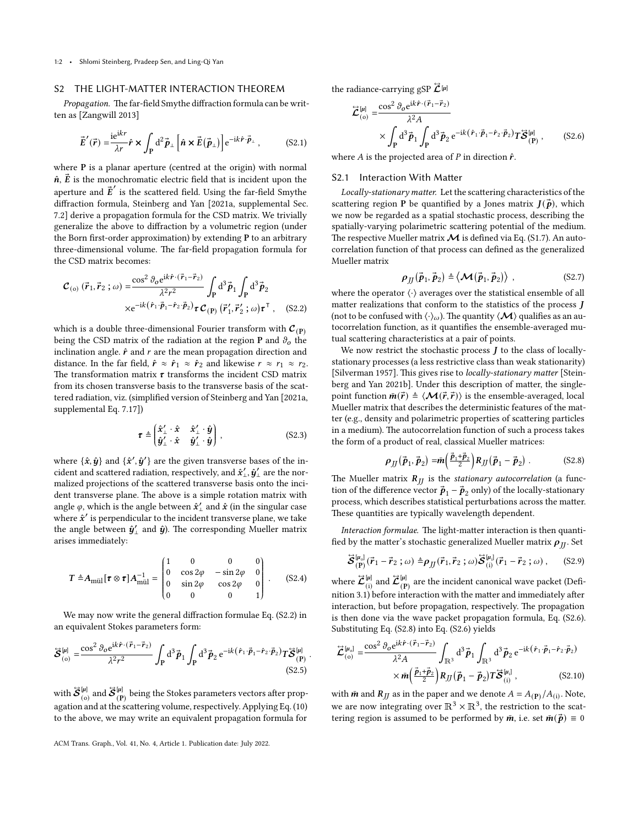### S2 THE LIGHT-MATTER INTERACTION THEOREM

*Propagation.* The far-field Smythe diffraction formula can be written as[[Zangwill](#page-3-0) [2013](#page-3-0)]

$$
\vec{E}'(\vec{r}) = \frac{\mathrm{i} \mathrm{e}^{\mathrm{i} k r}}{\lambda r} \hat{r} \times \int_{\mathbf{P}} \mathrm{d}^2 \vec{p}_{\perp} \left[ \hat{n} \times \vec{E}(\vec{p}_{\perp}) \right] \mathrm{e}^{-\mathrm{i} k \hat{r} \cdot \vec{p}_{\perp}}, \quad (S2.1)
$$

where **P** is a planar aperture (centred at the origin) with normal  $\hat{\boldsymbol{n}}$ ,  $\vec{\boldsymbol{E}}$  is the monochromatic electric field that is incident upon the aperture and  $\vec{E}'$  is the scattered field. Using the far-field Smythe diffraction formula, [Steinberg and Yan](#page-3-1) [[2021a](#page-3-1), supplemental Sec. 7.2] derive a propagation formula for the CSD matrix. We trivially generalize the above to diffraction by a volumetric region (under the Born first-order approximation) by extending **P** to an arbitrary three-dimensional volume. The far-field propagation formula for the CSD matrix becomes:

$$
\mathcal{C}_{\text{(o)}}\left(\vec{r}_1, \vec{r}_2; \omega\right) = \frac{\cos^2 \theta_0 e^{i\vec{k}\cdot(\vec{r}_1 - \vec{r}_2)}}{\lambda^2 r^2} \int_P d^3 \vec{p}_1 \int_P d^3 \vec{p}_2
$$
  
 
$$
\times e^{-i\vec{k}(\hat{r}_1 \cdot \vec{p}_1 - \hat{r}_2 \cdot \vec{p}_2)} \boldsymbol{\tau} \mathcal{C}_{\text{(P)}}\left(\vec{r}_1', \vec{r}_2'; \omega\right) \boldsymbol{\tau}^\top, \quad (S2.2)
$$

which is a double three-dimensional Fourier transform with  $C_{(P)}$ being the CSD matrix of the radiation at the region **P** and  $\vartheta$ <sub>o</sub> the inclination angle.  $\hat{r}$  and  $r$  are the mean propagation direction and distance. In the far field,  $\hat{r} \approx \hat{r}_1 \approx \hat{r}_2$  and likewise  $r \approx r_1 \approx r_2$ . The transformation matrix  $\tau$  transforms the incident CSD matrix from its chosen transverse basis to the transverse basis of the scattered radiation, viz. (simplified version of [Steinberg and Yan](#page-3-1) [\[2021a](#page-3-1), supplemental Eq. 7.17])

$$
\boldsymbol{\tau} \triangleq \begin{pmatrix} \hat{\boldsymbol{x}}_{\perp}^{\prime} \cdot \hat{\boldsymbol{x}} & \hat{\boldsymbol{x}}_{\perp}^{\prime} \cdot \hat{\boldsymbol{y}} \\ \hat{\boldsymbol{y}}_{\perp}^{\prime} \cdot \hat{\boldsymbol{x}} & \hat{\boldsymbol{y}}_{\perp}^{\prime} \cdot \hat{\boldsymbol{y}} \end{pmatrix},
$$
 (S2.3)

where  $\{\hat{\bm{x}}, \hat{\bm{y}}\}$  and  $\{\hat{\bm{x}}', \hat{\bm{y}}'\}$  are the given transverse bases of the incident and scattered radiation, respectively, and  $\hat{\boldsymbol{x}}'_{\perp}, \hat{\boldsymbol{y}}'_{\perp}$  are the normalized projections of the scattered transverse basis onto the incident transverse plane. The above is a simple rotation matrix with angle  $\varphi$ , which is the angle between  $\hat{\boldsymbol{x}}_\perp'$  and  $\hat{\boldsymbol{x}}$  (in the singular case where  $\hat{\mathbf{x}}'$  is perpendicular to the incident transverse plane, we take the angle between  $\hat{\boldsymbol{y}}'_{\perp}$  and  $\hat{\boldsymbol{y}}$ ). The corresponding Mueller matrix arises immediately:

$$
T \triangleq A_{\text{mail}}[\tau \otimes \tau] A_{\text{mill}}^{-1} = \begin{pmatrix} 1 & 0 & 0 & 0 \\ 0 & \cos 2\varphi & -\sin 2\varphi & 0 \\ 0 & \sin 2\varphi & \cos 2\varphi & 0 \\ 0 & 0 & 0 & 1 \end{pmatrix} .
$$
 (S2.4)

We may now write the general diffraction formulae [Eq. \(S2.2\)](#page-1-1) in an equivalent Stokes parameters form:

$$
\mathbf{\mathcal{S}}_{(o)}^{[\mu]} = \frac{\cos^2 \vartheta_o e^{ik\hat{\mathbf{r}} \cdot (\vec{r}_1 - \vec{r}_2)}}{\lambda^2 r^2} \int_{\mathbf{P}} d^3 \vec{p}_1 \int_{\mathbf{P}} d^3 \vec{p}_2 e^{-ik(\hat{\mathbf{r}}_1 \cdot \vec{p}_1 - \hat{\mathbf{r}}_2 \cdot \vec{p}_2)} T \mathbf{\mathcal{S}}_{(\mathbf{P})}^{[\mu]} \tag{S2.5}
$$

*.*

with  $\mathcal{\ddot{S}}_{(o)}^{[\mu]}$  $\frac{[\mu]}{(\infty)}$  and  $\mathcal{\vec{S}}_{(\text{P})}^{[\mu]}$  $\frac{(\mu)}{(\mathbf{P})}$  being the Stokes parameters vectors after propagation and at the scattering volume, respectively. Applying Eq. (10) to the above, we may write an equivalent propagation formula for

the radiance-carrying gSP  $\ddot{\mathcal{L}}^{[\mu]}$ 

<span id="page-1-2"></span>
$$
\overrightarrow{\mathcal{L}}_{(o)}^{[\mu]} = \frac{\cos^2 \theta_o e^{i\vec{k}\cdot(\vec{r}_1 - \vec{r}_2)}}{\lambda^2 A} \times \int_{\mathbf{P}} d^3 \vec{p}_1 \int_{\mathbf{P}} d^3 \vec{p}_2 e^{-i\vec{k}(\hat{r}_1 - \vec{p}_1 - \hat{r}_2 \cdot \vec{p}_2)} T \overrightarrow{\mathcal{S}}_{(\mathbf{P})}^{[\mu]}, \qquad (S2.6)
$$

where  $\vec{A}$  is the projected area of  $\vec{P}$  in direction  $\hat{r}$ .

#### S2.1 Interaction With Matter

*Locally-stationary matter.* Let the scattering characteristics of the scattering region **P** be quantified by a Jones matrix  $J(\vec{p})$ , which we now be regarded as a spatial stochastic process, describing the spatially-varying polarimetric scattering potential of the medium. The respective Mueller matrix  $\mathcal M$  is defined via [Eq. \(S1.7\).](#page-0-6) An autocorrelation function of that process can defined as the generalized Mueller matrix

$$
\rho_{JJ}(\vec{\boldsymbol{p}}_1,\vec{\boldsymbol{p}}_2) \triangleq \langle \mathcal{M}(\vec{\boldsymbol{p}}_1,\vec{\boldsymbol{p}}_2) \rangle , \qquad (S2.7)
$$

<span id="page-1-1"></span>where the operator  $\langle \cdot \rangle$  averages over the statistical ensemble of all matter realizations that conform to the statistics of the process  $J$ (not to be confused with  $\langle \cdot \rangle_{\omega}$ ). The quantity  $\langle \mathcal{M} \rangle$  qualifies as an autocorrelation function, as it quantifies the ensemble-averaged mutual scattering characteristics at a pair of points.

We now restrict the stochastic process  $J$  to the class of locallystationary processes (a less restrictive class than weak stationarity) [\[Silverman](#page-3-2) [1957\]](#page-3-2). This gives rise to *locally-stationary matter* [\[Stein](#page-3-3)[berg and Yan](#page-3-3) [2021b\]](#page-3-3). Under this description of matter, the singlepoint function  $\bar{m}(\vec{r}) \triangleq \langle \mathcal{M}(\vec{r},\vec{r}) \rangle$  is the ensemble-averaged, local Mueller matrix that describes the deterministic features of the matter (e.g., density and polarimetric properties of scattering particles in a medium). The autocorrelation function of such a process takes the form of a product of real, classical Mueller matrices:

<span id="page-1-0"></span>
$$
\rho_{jj}(\vec{\boldsymbol{p}}_1, \vec{\boldsymbol{p}}_2) = \bar{m} \left( \frac{\vec{\boldsymbol{p}}_1 + \vec{\boldsymbol{p}}_2}{2} \right) R_{JJ} (\vec{\boldsymbol{p}}_1 - \vec{\boldsymbol{p}}_2) \ . \tag{S2.8}
$$

The Mueller matrix  $R_{II}$  is the *stationary autocorrelation* (a function of the difference vector  $\vec{\textbf{\textit{p}}}_1 - \vec{\textbf{\textit{p}}}_2$  only) of the locally-stationary process, which describes statistical perturbations across the matter. These quantities are typically wavelength dependent.

*Interaction formulae.* The light-matter interaction is then quantified by the matter's stochastic generalized Mueller matrix  $\rho_{II}$ . Set

$$
\mathbf{\vec{S}}_{(\mathbf{P})}^{[\mu_0]}(\vec{r}_1 - \vec{r}_2 \,;\omega) \triangleq \rho_{jj}(\vec{r}_1, \vec{r}_2 \,;\omega) \mathbf{\vec{S}}_{(i)}^{[\mu_i]}(\vec{r}_1 - \vec{r}_2 \,;\omega) \,,\qquad(82.9)
$$

where  $\ddot{\mathcal{L}}_{\scriptscriptstyle (i)}^{\scriptscriptstyle [\mu]}$  $\frac{[\mu]}{(\text{i})}$  and  $\overline{\mathcal{L}} \frac{[\mu]}{(\text{P})}$  $\frac{(\mu)}{(\mathbf{P})}$  are the incident canonical wave packet (Definition 3.1) before interaction with the matter and immediately after interaction, but before propagation, respectively. The propagation is then done via the wave packet propagation formula, [Eq. \(S2.6\).](#page-1-2) Substituting [Eq. \(S2.8\)](#page-1-0) into [Eq. \(S2.6\)](#page-1-2) yields

<span id="page-1-3"></span>
$$
\overleftrightarrow{\mathcal{L}}_{(o)}^{\left[\mu_{o}\right]} = \frac{\cos^{2} \theta_{o} e^{i\vec{k}\cdot(\vec{r}_{1}-\vec{r}_{2})}}{\lambda^{2} A} \int_{\mathbb{R}^{3}} d^{3} \vec{p}_{1} \int_{\mathbb{R}^{3}} d^{3} \vec{p}_{2} e^{-i\vec{k}(\hat{r}_{1}\cdot\vec{p}_{1}-\hat{r}_{2}\cdot\vec{p}_{2})} \times \bar{m} \left(\frac{\vec{p}_{1}+\vec{p}_{2}}{2}\right) R_{JJ} \left(\vec{p}_{1}-\vec{p}_{2}\right) T \overleftrightarrow{\mathcal{S}}_{(i)}^{\left[\mu_{i}\right]} , \tag{S2.10}
$$

with  $\bar{m}$  and  $R_{JJ}$  as in the paper and we denote  $A = A_{(P)}/A_{(i)}$ . Note, we are now integrating over  $\mathbb{R}^3 \times \mathbb{R}^3$ , the restriction to the scattering region is assumed to be performed by  $\bar{m}$ , i.e. set  $\bar{m}(\vec{p}) \equiv 0$ 

ACM Trans. Graph., Vol. 41, No. 4, Article 1. Publication date: July 2022.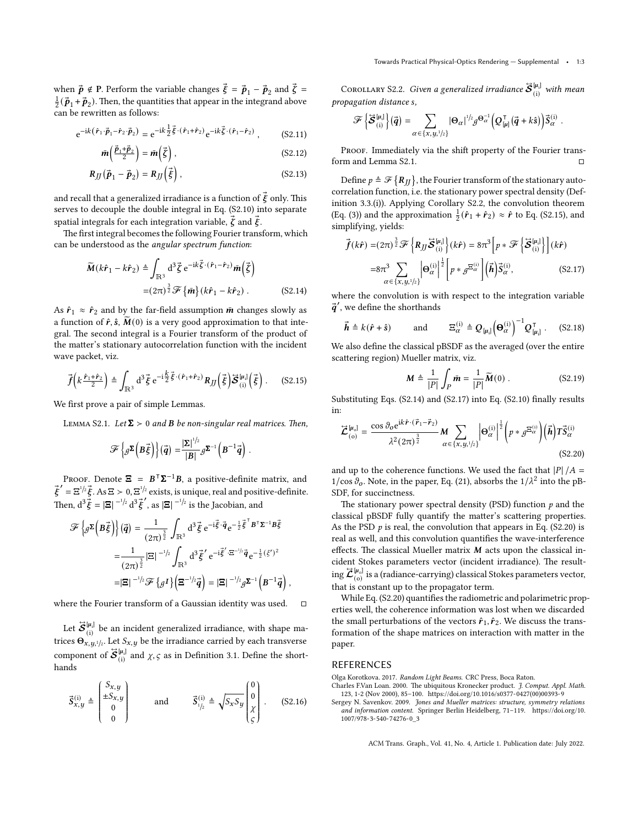when  $\vec{p} \notin P$ . Perform the variable changes  $\vec{\xi} = \vec{p}_1 - \vec{p}_2$  and  $\vec{\zeta} =$  $\frac{1}{2}(\vec{\bm{p}}_1+\vec{\bm{p}}_2)$ . Then, the quantities that appear in the integrand above can be rewritten as follows:

$$
e^{-ik(\hat{\mathbf{r}}_1 \cdot \vec{\mathbf{p}}_1 - \hat{\mathbf{r}}_2 \cdot \vec{\mathbf{p}}_2)} = e^{-ik\frac{1}{2}\vec{\xi} \cdot (\hat{\mathbf{r}}_1 + \hat{\mathbf{r}}_2)} e^{-ik\vec{\xi} \cdot (\hat{\mathbf{r}}_1 - \hat{\mathbf{r}}_2)}, \qquad (S2.11)
$$

$$
\bar{m}\left(\frac{\vec{p}_1+\vec{p}_2}{2}\right)=\bar{m}\left(\vec{\zeta}\right),\qquad(S2.12)
$$

$$
R_{JJ}(\vec{p}_1 - \vec{p}_2) = R_{JJ}(\vec{\xi}), \qquad (S2.13)
$$

and recall that a generalized irradiance is a function of  $\vec{\xi}$  only. This serves to decouple the double integral in [Eq. \(S2.10\)](#page-1-3) into separate spatial integrals for each integration variable,  $\vec{\zeta}$  and  $\vec{\zeta}$ .

The first integral becomes the following Fourier transform, which can be understood as the *angular spectrum function*:

$$
\widetilde{M}(k\hat{r}_1 - k\hat{r}_2) \triangleq \int_{\mathbb{R}^3} d^3 \vec{\zeta} e^{-ik \vec{\zeta} \cdot (\hat{r}_1 - \hat{r}_2)} \tilde{m}(\vec{\zeta})
$$
\n
$$
= (2\pi)^{\frac{3}{2}} \mathcal{F} \{ \tilde{m} \} (k\hat{r}_1 - k\hat{r}_2) .
$$
\n(S2.14)

As  $\hat{r}_1 \approx \hat{r}_2$  and by the far-field assumption  $\bar{m}$  changes slowly as a function of  $\hat{r}$ ,  $\hat{s}$ ,  $\widetilde{M}(0)$  is a very good approximation to that integral. The second integral is a Fourier transform of the product of the matter's stationary autocorrelation function with the incident wave packet, viz.

$$
\vec{f}\left(k\frac{\hat{r}_1+\hat{r}_2}{2}\right) \triangleq \int_{\mathbb{R}^3} d^3 \vec{\xi} e^{-i\frac{\vec{k}}{2}\vec{\xi}\cdot(\hat{r}_1+\hat{r}_2)} R_{JJ}\left(\vec{\xi}\right) \vec{S}_{(i)}^{[\mu_i]}(\vec{\xi}) . \quad (S2.15)
$$

<span id="page-2-3"></span>We first prove a pair of simple Lemmas.

LEMMA S2.1. *Let*  $\Sigma > 0$  *and*  $B$  *be non-singular real matrices. Then,* 

$$
\mathscr{F}\left\{ \mathscr{J}^{\Sigma}\left(B\vec{\xi}\right)\right\} \left(\vec{q}\right) = \frac{\left|\Sigma\right|^{1/2}}{\left|B\right|} \mathscr{J}^{\Sigma^{-1}}\left(B^{-1}\vec{q}\right).
$$

PROOF. Denote  $\Xi = B^T \Sigma^{-1} B$ , a positive-definite matrix, and  $\vec{\xi}' = \Xi^{1/2} \vec{\xi}$ . As  $\Xi > 0$ ,  $\Xi^{1/2}$  exists, is unique, real and positive-definite. Then,  $d^3\vec{\xi} = |\Xi|^{-1/2} d^3\vec{\xi}'$ , as  $|\Xi|^{-1/2}$  is the Jacobian, and

$$
\mathcal{F}\left\{\mathcal{J}^{\Sigma}\left(B\vec{\xi}\right)\right\}(\vec{q}) = \frac{1}{(2\pi)^{\frac{3}{2}}}\int_{\mathbb{R}^3} d^3 \vec{\xi} e^{-i \vec{\xi} \cdot \vec{q}} e^{-\frac{1}{2} \vec{\xi}^{\top} B^{\top} \Sigma^{-1} B \vec{\xi}}
$$

$$
= \frac{1}{(2\pi)^{\frac{3}{2}}} |\Xi|^{-1/2} \int_{\mathbb{R}^3} d^3 \vec{\xi}' e^{-i \vec{\xi}' \cdot \Xi^{-1/2} \vec{q}} e^{-\frac{1}{2} (\xi')^2}
$$

$$
= |\Xi|^{-1/2} \mathcal{F}\left\{\mathcal{J}^{\Gamma}\right\} \left(\Xi^{-1/2} \vec{q}\right) = |\Xi|^{-1/2} \mathcal{J}^{\Sigma^{-1}} \left(B^{-1} \vec{q}\right),
$$

where the Fourier transform of a Gaussian identity was used.  $□$ 

Let  $\mathcal{\ddot{S}}_{\text{(i)}}^{[\mu_i]}$  be an incident generalized irradiance, with shape matrices  $\Theta_{x,y,1/2}$ . Let  $S_{x,y}$  be the irradiance carried by each transverse component of  $\vec{S}^{[\mu_i]}_{(i)}$  and  $\chi, \varsigma$  as in Definition 3.1. Define the shorthands

<span id="page-2-4"></span>
$$
\vec{S}_{x,y}^{(i)} \triangleq \begin{pmatrix} S_{x,y} \\ \pm S_{x,y} \\ 0 \\ 0 \end{pmatrix} \quad \text{and} \quad \vec{S}_{1/2}^{(i)} \triangleq \sqrt{S_x S_y} \begin{pmatrix} 0 \\ 0 \\ \chi \\ \zeta \end{pmatrix} . \quad (S2.16)
$$

 $\textsc{Corollary S2.2.} \ \ \textsc{Given a generalized irradiance} \ \boldsymbol{\ddot{S}}^{\text{[\mu_i]}} \ \ \textit{with mean}$ *propagation distance ,*

$$
\mathscr{F}\left\{\vec{\boldsymbol{\mathcal{S}}}_{(i)}^{[\mu_i]}\right\}(\vec{\boldsymbol{q}})=\sum_{\alpha\in\{x,y,1/2\}}\left|\Theta_{\alpha}\right|^{1/2}\boldsymbol{g}^{\Theta_{\alpha}^{-1}}\left(Q_{[\mu]}^{\mathsf{T}}\left(\vec{\boldsymbol{q}}+k\hat{\boldsymbol{s}}\right)\right)\vec{S}_{\alpha}^{(i)}.
$$

PROOF. Immediately via the shift property of the Fourier trans-form and [Lemma S2.1.](#page-2-3)  $\Box$ 

Define  $p \triangleq \mathscr{F}\{\mathbf{R}_M\}$ , the Fourier transform of the stationary autocorrelation function, i.e. the stationary power spectral density (Definition 3.3.(i)). Applying [Corollary S2.2](#page-2-4), the convolution theorem (Eq. (3)) and the approximation  $\frac{1}{2}(\hat{r}_1 + \hat{r}_2) \approx \hat{r}$  to [Eq. \(S2.15\)](#page-2-5), and simplifying, yields:

$$
\vec{f}(k\hat{r}) = (2\pi)^{\frac{3}{2}} \mathcal{F} \left\{ R_{JJ} \vec{S}_{(i)}^{\mu_{i}} \right\} (k\hat{r}) = 8\pi^{3} \left[ p * \mathcal{F} \left\{ \vec{S}_{(i)}^{\mu_{i}} \right\} \right] (k\hat{r})
$$

$$
= 8\pi^{3} \sum_{\alpha \in \{\mathbf{x}, \mathbf{y}, \mathbf{z}\}^{\prime}} \left| \Theta_{\alpha}^{(i)} \right|^{\frac{1}{2}} \left| p * \mathcal{J}^{\Xi_{\alpha}^{(i)}} \right| \left( \vec{h} \right) \vec{S}_{\alpha}^{(i)}, \tag{S2.17}
$$

<span id="page-2-6"></span>where the convolution is with respect to the integration variable  $\vec{q}^{\prime}$ , we define the shorthands

$$
\vec{\boldsymbol{h}} \triangleq k(\hat{\boldsymbol{r}} + \hat{\boldsymbol{s}}) \quad \text{and} \quad \boldsymbol{\Xi}_{\alpha}^{(i)} \triangleq Q_{[\mu_i]} \left(\boldsymbol{\Theta}_{\alpha}^{(i)}\right)^{-1} Q_{[\mu_i]}^{\mathsf{T}} . \quad (S2.18)
$$

We also define the classical pBSDF as the averaged (over the entire scattering region) Mueller matrix, viz.

<span id="page-2-8"></span><span id="page-2-7"></span>
$$
\mathbf{M} \triangleq \frac{1}{|P|} \int_P \bar{\mathbf{m}} = \frac{1}{|P|} \widetilde{\mathbf{M}}(0) .
$$
 (S2.19)

<span id="page-2-5"></span>Substituting [Eqs. \(S2.14\)](#page-2-6) and [\(S2.17\)](#page-2-7) into [Eq. \(S2.10\)](#page-1-3) finally results in:

$$
\vec{\mathcal{L}}_{(o)}^{[\mu_o]} = \frac{\cos \vartheta_o e^{ik\hat{r} \cdot (\vec{r}_1 - \vec{r}_2)}}{\lambda^2 (2\pi)^{\frac{3}{2}}} M \sum_{\alpha \in \{x, y, \}^{\lambda_1} \}} \left| \Theta_{\alpha}^{(i)} \right|^{\frac{1}{2}} \left( p * g^{\Xi_{\alpha}^{(i)}} \right) \left( \vec{h} \right) T \vec{S}_{\alpha}^{(i)}
$$
\n(S2.20)

and up to the coherence functions. We used the fact that  $|P|/A =$ 1/cos  $\partial$ <sub>o</sub>. Note, in the paper, Eq. (21), absorbs the 1/ $\lambda^2$  into the pB-SDF, for succinctness.

The stationary power spectral density (PSD) function *p* and the classical pBSDF fully quantify the matter's scattering properties. As the PSD  $p$  is real, the convolution that appears in [Eq. \(S2.20\)](#page-2-8) is real as well, and this convolution quantifies the wave-interference effects. The classical Mueller matrix  $M$  acts upon the classical incident Stokes parameters vector (incident irradiance). The result- $\lim_{\epsilon\to 0} \vec{\mathcal{L}}_{\rm (o)}^{[\mu_{\rm o}]}$  is a (radiance-carrying) classical Stokes parameters vector, that is constant up to the propagator term.

While [Eq. \(S2.20\)](#page-2-8) quantifies the radiometric and polarimetric properties well, the coherence information was lost when we discarded the small perturbations of the vectors  $\hat{r}_1$ ,  $\hat{r}_2$ . We discuss the transformation of the shape matrices on interaction with matter in the paper.

#### REFERENCES

<span id="page-2-2"></span>Olga Korotkova. 2017. *Random Light Beams*. CRC Press, Boca Raton.

- <span id="page-2-0"></span>Charles F.Van Loan. 2000. The ubiquitous Kronecker product. *J. Comput. Appl. Math.* 123, 1-2 (Nov 2000), 85–100. [https://doi.org/10.1016/s0377-0427\(00\)00393-9](https://doi.org/10.1016/s0377-0427(00)00393-9)
- <span id="page-2-1"></span>Sergey N. Savenkov. 2009. *Jones and Mueller matrices: structure, symmetry relations and information content*. Springer Berlin Heidelberg, 71–119. [https://doi.org/10.](https://doi.org/10.1007/978-3-540-74276-0_3) [1007/978-3-540-74276-0\\_3](https://doi.org/10.1007/978-3-540-74276-0_3)

ACM Trans. Graph., Vol. 41, No. 4, Article 1. Publication date: July 2022.